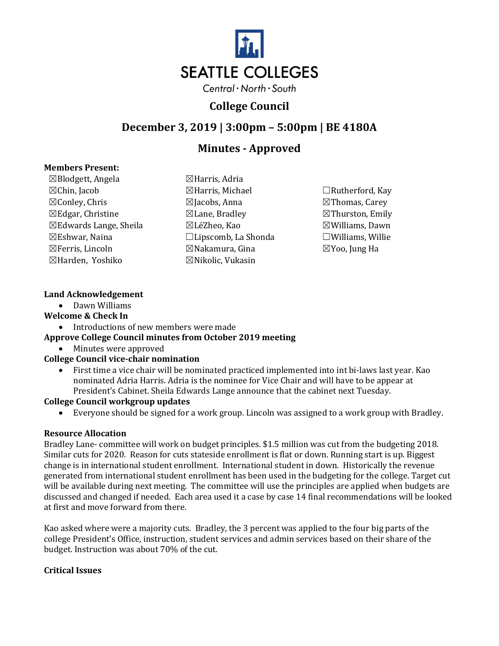

# **College Council**

## **December 3, 2019 | 3:00pm – 5:00pm | BE 4180A**

# **Minutes - Approved**

#### **Members Present:**

 $\boxtimes$ Blodgett, Angela  $\boxtimes$ Harris, Adria ☒Harden, Yoshiko ☒Nikolic, Vukasin

☒Chin, Jacob ☒Harris, Michael ☐Rutherford, Kay ☒Conley, Chris ☒Jacobs, Anna ☒Thomas, Carey  $\boxtimes$ Edgar, Christine  $\boxtimes$ Lane, Bradley  $\boxtimes$ Thurston, Emily ☒Edwards Lange, Sheila ☒LéZheo, Kao ☒Williams, Dawn ☒Eshwar, Naina ☐Lipscomb, La Shonda ☐Williams, Willie ☒Ferris, Lincoln ☒Nakamura, Gina ☒Yoo, Jung Ha

## **Land Acknowledgement**

• Dawn Williams

## **Welcome & Check In**

• Introductions of new members were made

## **Approve College Council minutes from October 2019 meeting**

• Minutes were approved

## **College Council vice-chair nomination**

• First time a vice chair will be nominated practiced implemented into int bi-laws last year. Kao nominated Adria Harris. Adria is the nominee for Vice Chair and will have to be appear at President's Cabinet. Sheila Edwards Lange announce that the cabinet next Tuesday.

## **College Council workgroup updates**

• Everyone should be signed for a work group. Lincoln was assigned to a work group with Bradley.

## **Resource Allocation**

Bradley Lane- committee will work on budget principles. \$1.5 million was cut from the budgeting 2018. Similar cuts for 2020. Reason for cuts stateside enrollment is flat or down. Running start is up. Biggest change is in international student enrollment. International student in down. Historically the revenue generated from international student enrollment has been used in the budgeting for the college. Target cut will be available during next meeting. The committee will use the principles are applied when budgets are discussed and changed if needed. Each area used it a case by case 14 final recommendations will be looked at first and move forward from there.

Kao asked where were a majority cuts. Bradley, the 3 percent was applied to the four big parts of the college President's Office, instruction, student services and admin services based on their share of the budget. Instruction was about 70% of the cut.

## **Critical Issues**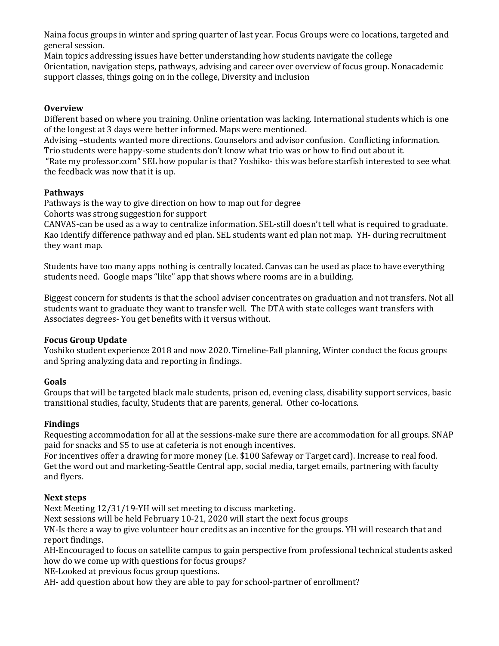Naina focus groups in winter and spring quarter of last year. Focus Groups were co locations, targeted and general session.

Main topics addressing issues have better understanding how students navigate the college Orientation, navigation steps, pathways, advising and career over overview of focus group. Nonacademic support classes, things going on in the college, Diversity and inclusion

#### **Overview**

Different based on where you training. Online orientation was lacking. International students which is one of the longest at 3 days were better informed. Maps were mentioned.

Advising –students wanted more directions. Counselors and advisor confusion. Conflicting information. Trio students were happy-some students don't know what trio was or how to find out about it.

"Rate my professor.com" SEL how popular is that? Yoshiko- this was before starfish interested to see what the feedback was now that it is up.

#### **Pathways**

Pathways is the way to give direction on how to map out for degree

Cohorts was strong suggestion for support

CANVAS-can be used as a way to centralize information. SEL-still doesn't tell what is required to graduate. Kao identify difference pathway and ed plan. SEL students want ed plan not map. YH- during recruitment they want map.

Students have too many apps nothing is centrally located. Canvas can be used as place to have everything students need. Google maps "like" app that shows where rooms are in a building.

Biggest concern for students is that the school adviser concentrates on graduation and not transfers. Not all students want to graduate they want to transfer well. The DTA with state colleges want transfers with Associates degrees- You get benefits with it versus without.

#### **Focus Group Update**

Yoshiko student experience 2018 and now 2020. Timeline-Fall planning, Winter conduct the focus groups and Spring analyzing data and reporting in findings.

#### **Goals**

Groups that will be targeted black male students, prison ed, evening class, disability support services, basic transitional studies, faculty, Students that are parents, general. Other co-locations.

## **Findings**

Requesting accommodation for all at the sessions-make sure there are accommodation for all groups. SNAP paid for snacks and \$5 to use at cafeteria is not enough incentives.

For incentives offer a drawing for more money (i.e. \$100 Safeway or Target card). Increase to real food. Get the word out and marketing-Seattle Central app, social media, target emails, partnering with faculty and flyers.

#### **Next steps**

Next Meeting 12/31/19-YH will set meeting to discuss marketing.

Next sessions will be held February 10-21, 2020 will start the next focus groups

VN-Is there a way to give volunteer hour credits as an incentive for the groups. YH will research that and report findings.

AH-Encouraged to focus on satellite campus to gain perspective from professional technical students asked how do we come up with questions for focus groups?

NE-Looked at previous focus group questions.

AH- add question about how they are able to pay for school-partner of enrollment?